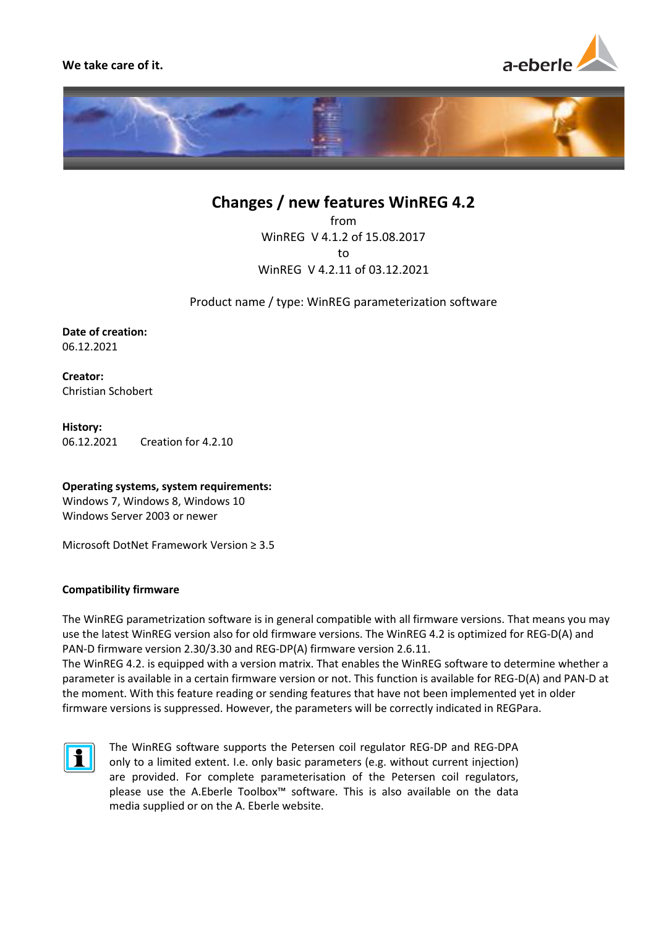**We take care of it.**





# **Changes / new features WinREG 4.2**

from WinREG V 4.1.2 of 15.08.2017 to WinREG V 4.2.11 of 03.12.2021

Product name / type: WinREG parameterization software

**Date of creation:** 06.12.2021

**Creator:** Christian Schobert

**History:** 06.12.2021 Creation for 4.2.10

**Operating systems, system requirements:** Windows 7, Windows 8, Windows 10

Windows Server 2003 or newer

Microsoft DotNet Framework Version ≥ 3.5

## **Compatibility firmware**

The WinREG parametrization software is in general compatible with all firmware versions. That means you may use the latest WinREG version also for old firmware versions. The WinREG 4.2 is optimized for REG-D(A) and PAN-D firmware version 2.30/3.30 and REG-DP(A) firmware version 2.6.11.

The WinREG 4.2. is equipped with a version matrix. That enables the WinREG software to determine whether a parameter is available in a certain firmware version or not. This function is available for REG-D(A) and PAN-D at the moment. With this feature reading or sending features that have not been implemented yet in older firmware versions is suppressed. However, the parameters will be correctly indicated in REGPara.



The WinREG software supports the Petersen coil regulator REG-DP and REG-DPA only to a limited extent. I.e. only basic parameters (e.g. without current injection) are provided. For complete parameterisation of the Petersen coil regulators, please use the A.Eberle Toolbox<sup>™</sup> software. This is also available on the data media supplied or on the A. Eberle website.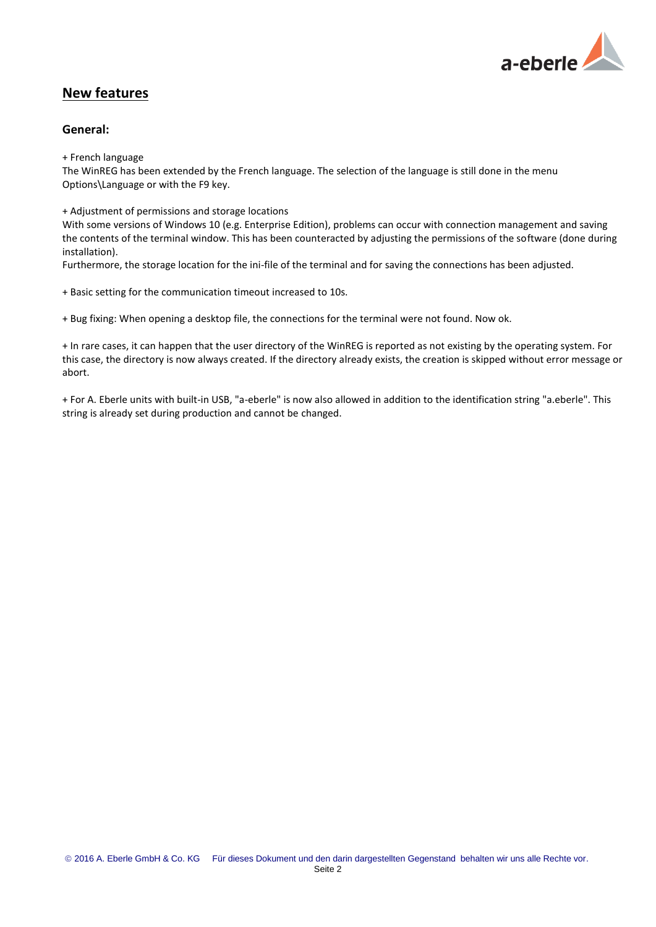

## **New features**

## **General:**

+ French language

The WinREG has been extended by the French language. The selection of the language is still done in the menu Options\Language or with the F9 key.

+ Adjustment of permissions and storage locations

With some versions of Windows 10 (e.g. Enterprise Edition), problems can occur with connection management and saving the contents of the terminal window. This has been counteracted by adjusting the permissions of the software (done during installation).

Furthermore, the storage location for the ini-file of the terminal and for saving the connections has been adjusted.

+ Basic setting for the communication timeout increased to 10s.

+ Bug fixing: When opening a desktop file, the connections for the terminal were not found. Now ok.

+ In rare cases, it can happen that the user directory of the WinREG is reported as not existing by the operating system. For this case, the directory is now always created. If the directory already exists, the creation is skipped without error message or abort.

+ For A. Eberle units with built-in USB, "a-eberle" is now also allowed in addition to the identification string "a.eberle". This string is already set during production and cannot be changed.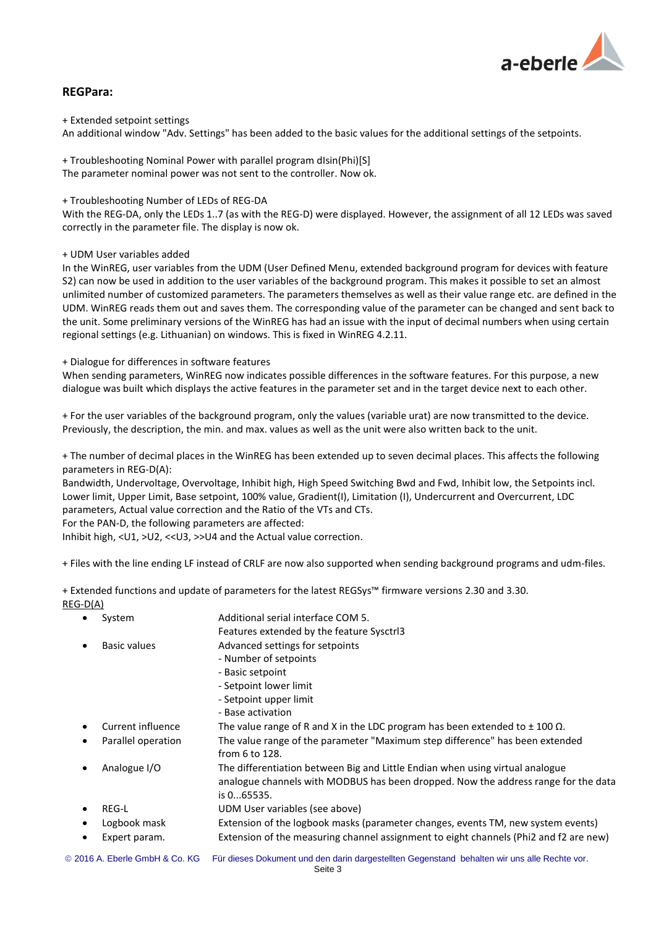

### **REGPara:**

+ Extended setpoint settings

An additional window "Adv. Settings" has been added to the basic values for the additional settings of the setpoints.

+ Troubleshooting Nominal Power with parallel program dIsin(Phi)[S] The parameter nominal power was not sent to the controller. Now ok.

+ Troubleshooting Number of LEDs of REG-DA

With the REG-DA, only the LEDs 1..7 (as with the REG-D) were displayed. However, the assignment of all 12 LEDs was saved correctly in the parameter file. The display is now ok.

#### + UDM User variables added

In the WinREG, user variables from the UDM (User Defined Menu, extended background program for devices with feature S2) can now be used in addition to the user variables of the background program. This makes it possible to set an almost unlimited number of customized parameters. The parameters themselves as well as their value range etc. are defined in the UDM. WinREG reads them out and saves them. The corresponding value of the parameter can be changed and sent back to the unit. Some preliminary versions of the WinREG has had an issue with the input of decimal numbers when using certain regional settings (e.g. Lithuanian) on windows. This is fixed in WinREG 4.2.11.

+ Dialogue for differences in software features

When sending parameters, WinREG now indicates possible differences in the software features. For this purpose, a new dialogue was built which displays the active features in the parameter set and in the target device next to each other.

+ For the user variables of the background program, only the values (variable urat) are now transmitted to the device. Previously, the description, the min. and max. values as well as the unit were also written back to the unit.

+ The number of decimal places in the WinREG has been extended up to seven decimal places. This affects the following parameters in REG-D(A):

Bandwidth, Undervoltage, Overvoltage, Inhibit high, High Speed Switching Bwd and Fwd, Inhibit low, the Setpoints incl. Lower limit, Upper Limit, Base setpoint, 100% value, Gradient(I), Limitation (I), Undercurrent and Overcurrent, LDC parameters, Actual value correction and the Ratio of the VTs and CTs.

For the PAN-D, the following parameters are affected:

Inhibit high, <U1, >U2, <<U3, >>U4 and the Actual value correction.

+ Files with the line ending LF instead of CRLF are now also supported when sending background programs and udm-files.

+ Extended functions and update of parameters for the latest REGSys™ firmware versions 2.30 and 3.30. REG-D(A)

| ٠         | System                         | Additional serial interface COM 5.                                                           |
|-----------|--------------------------------|----------------------------------------------------------------------------------------------|
|           |                                | Features extended by the feature Sysctrl3                                                    |
| $\bullet$ | Basic values                   | Advanced settings for setpoints                                                              |
|           |                                | - Number of setpoints                                                                        |
|           |                                | - Basic setpoint                                                                             |
|           |                                | - Setpoint lower limit                                                                       |
|           |                                | - Setpoint upper limit                                                                       |
|           |                                | - Base activation                                                                            |
| ٠         | Current influence              | The value range of R and X in the LDC program has been extended to $\pm$ 100 $\Omega$ .      |
| ٠         | Parallel operation             | The value range of the parameter "Maximum step difference" has been extended                 |
|           |                                | from 6 to 128.                                                                               |
| $\bullet$ | Analogue I/O                   | The differentiation between Big and Little Endian when using virtual analogue                |
|           |                                | analogue channels with MODBUS has been dropped. Now the address range for the data           |
|           |                                | is 065535.                                                                                   |
| $\bullet$ | <b>REG-L</b>                   | UDM User variables (see above)                                                               |
|           | Logbook mask                   | Extension of the logbook masks (parameter changes, events TM, new system events)             |
| $\bullet$ | Expert param.                  | Extension of the measuring channel assignment to eight channels (Phi2 and f2 are new)        |
|           | © 2016 A. Eberle GmbH & Co. KG | Für dieses Dokument und den darin dargestellten Gegenstand behalten wir uns alle Rechte vor. |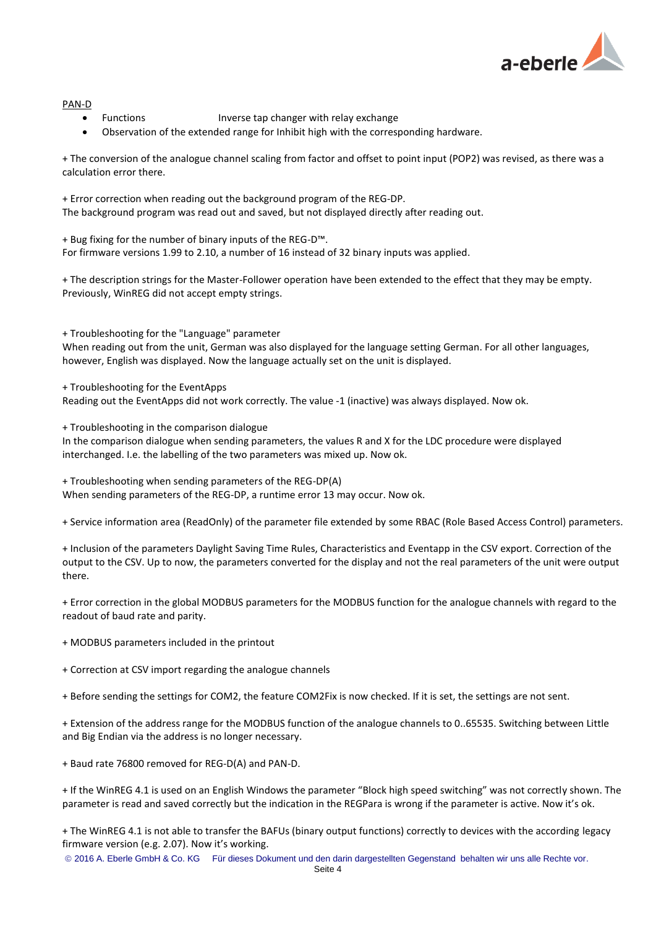

#### PAN-D

- Functions Inverse tap changer with relay exchange
- Observation of the extended range for Inhibit high with the corresponding hardware.

+ The conversion of the analogue channel scaling from factor and offset to point input (POP2) was revised, as there was a calculation error there.

+ Error correction when reading out the background program of the REG-DP. The background program was read out and saved, but not displayed directly after reading out.

+ Bug fixing for the number of binary inputs of the REG-D™. For firmware versions 1.99 to 2.10, a number of 16 instead of 32 binary inputs was applied.

+ The description strings for the Master-Follower operation have been extended to the effect that they may be empty. Previously, WinREG did not accept empty strings.

+ Troubleshooting for the "Language" parameter

When reading out from the unit, German was also displayed for the language setting German. For all other languages, however, English was displayed. Now the language actually set on the unit is displayed.

+ Troubleshooting for the EventApps

Reading out the EventApps did not work correctly. The value -1 (inactive) was always displayed. Now ok.

+ Troubleshooting in the comparison dialogue

In the comparison dialogue when sending parameters, the values R and X for the LDC procedure were displayed interchanged. I.e. the labelling of the two parameters was mixed up. Now ok.

+ Troubleshooting when sending parameters of the REG-DP(A) When sending parameters of the REG-DP, a runtime error 13 may occur. Now ok.

+ Service information area (ReadOnly) of the parameter file extended by some RBAC (Role Based Access Control) parameters.

+ Inclusion of the parameters Daylight Saving Time Rules, Characteristics and Eventapp in the CSV export. Correction of the output to the CSV. Up to now, the parameters converted for the display and not the real parameters of the unit were output there.

+ Error correction in the global MODBUS parameters for the MODBUS function for the analogue channels with regard to the readout of baud rate and parity.

+ MODBUS parameters included in the printout

+ Correction at CSV import regarding the analogue channels

+ Before sending the settings for COM2, the feature COM2Fix is now checked. If it is set, the settings are not sent.

+ Extension of the address range for the MODBUS function of the analogue channels to 0..65535. Switching between Little and Big Endian via the address is no longer necessary.

+ Baud rate 76800 removed for REG-D(A) and PAN-D.

+ If the WinREG 4.1 is used on an English Windows the parameter "Block high speed switching" was not correctly shown. The parameter is read and saved correctly but the indication in the REGPara is wrong if the parameter is active. Now it's ok.

+ The WinREG 4.1 is not able to transfer the BAFUs (binary output functions) correctly to devices with the according legacy firmware version (e.g. 2.07). Now it's working.

2016 A. Eberle GmbH & Co. KG Für dieses Dokument und den darin dargestellten Gegenstand behalten wir uns alle Rechte vor.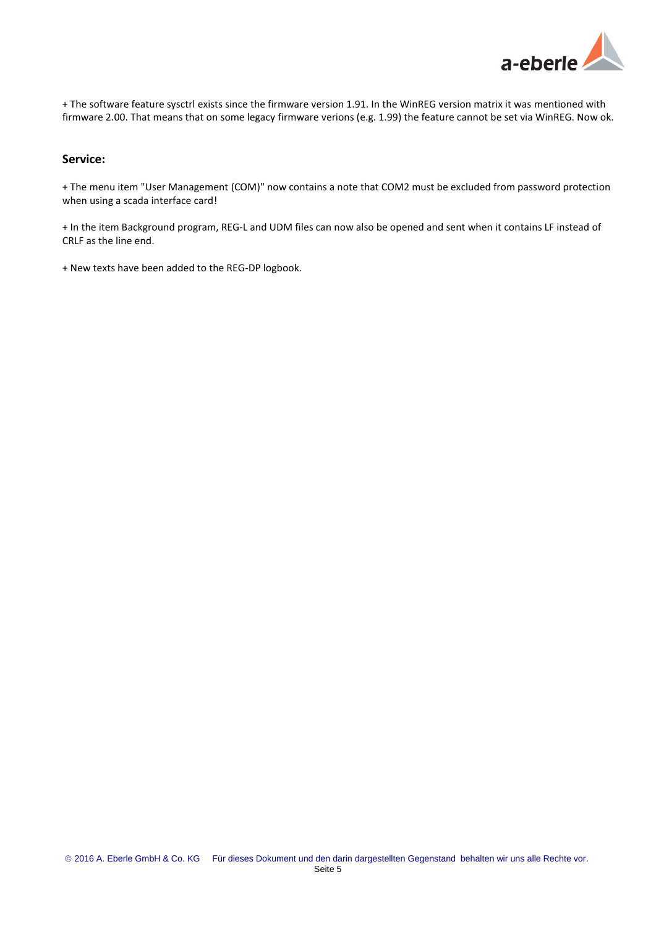

+ The software feature sysctrl exists since the firmware version 1.91. In the WinREG version matrix it was mentioned with firmware 2.00. That means that on some legacy firmware verions (e.g. 1.99) the feature cannot be set via WinREG. Now ok.

## **Service:**

+ The menu item "User Management (COM)" now contains a note that COM2 must be excluded from password protection when using a scada interface card!

+ In the item Background program, REG-L and UDM files can now also be opened and sent when it contains LF instead of CRLF as the line end.

+ New texts have been added to the REG-DP logbook.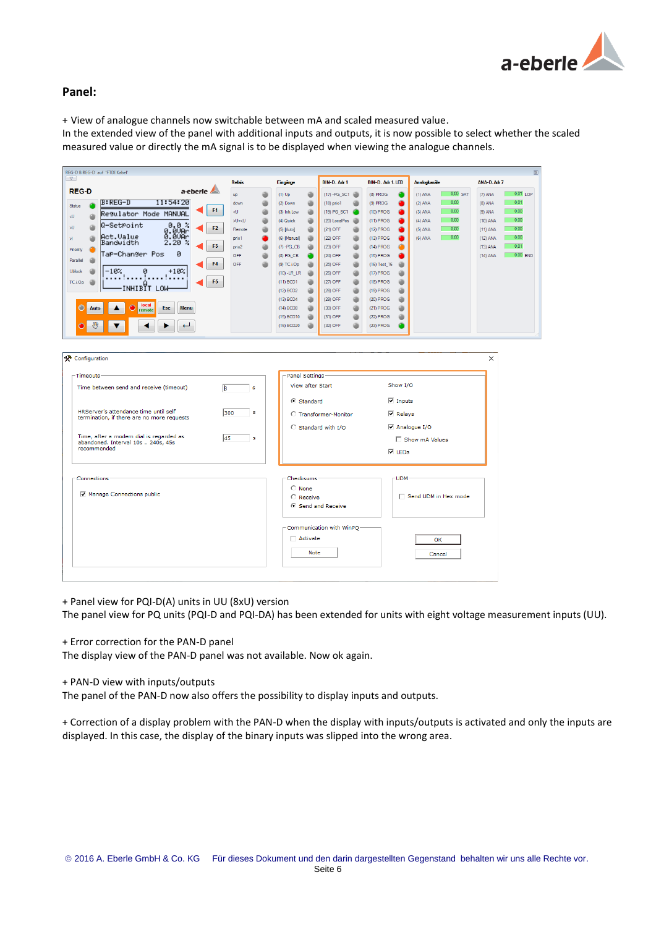

## **Panel:**

+ View of analogue channels now switchable between mA and scaled measured value.

In the extended view of the panel with additional inputs and outputs, it is now possible to select whether the scaled measured value or directly the mA signal is to be displayed when viewing the analogue channels.

| $\sqrt{2}$                                 |                                                                                         | <b>Relais</b>                                                                                                                                          | Eingänge                  |   | BIN-D. Adr 1     | BIN-D. Adr 1. LED | Analogkanale          | ANA-D, Adr 7             |
|--------------------------------------------|-----------------------------------------------------------------------------------------|--------------------------------------------------------------------------------------------------------------------------------------------------------|---------------------------|---|------------------|-------------------|-----------------------|--------------------------|
| <b>REG-D</b>                               | a-eberle                                                                                | <b>up</b>                                                                                                                                              | $(1)$ Up                  | ٠ | $(17) - PG_S C1$ | $(8)$ PROG        | 0,00 SRT<br>$(1)$ ANA | $0.01$ LOP<br>$(7)$ ANA  |
| $B:REG-D$<br>Status                        | 11:54:20                                                                                | down                                                                                                                                                   | (2) Down                  | a | $(18)$ prio $1$  | $(9)$ PROG        | 0.00<br>$(2)$ ANA     | 0.01<br>$(8)$ ANA        |
| Regulator Mode MANUAL                      | <b>F1</b>                                                                               | $<$ U                                                                                                                                                  | (3) Inh.Low               |   | (19) PG_SC1      | (10) PROG         | 0.00<br>$(3)$ ANA     | 0.00<br>$(9)$ ANA        |
|                                            |                                                                                         | >U+ <u< td=""><td>(4) Quick</td><td></td><td>(20) LocalPos</td><td>(11) PROG</td><td>0.00<br/><math>(4)</math> ANA</td><td>0.00<br/>(10) ANA</td></u<> | (4) Quick                 |   | (20) LocalPos    | (11) PROG         | 0.00<br>$(4)$ ANA     | 0.00<br>(10) ANA         |
| Q-SetPoint                                 | F <sub>2</sub>                                                                          | Remote                                                                                                                                                 | (5) [Auto]                |   | (21) OFF         | (12) PROG         | 0,00<br>$(5)$ ANA     | 0,00<br>$(11)$ ANA       |
| Act.Value                                  | $\begin{smallmatrix} 0.8 & 7 \\ 8.8 & 0.01 \\ 9.8 & 9.01 \\ 2.20 & 7 \end{smallmatrix}$ | prio1                                                                                                                                                  | (6) [Manual]              |   | (22) OFF         | (13) PROG         | 0.00<br>$(6)$ ANA     | 0.00<br>(12) ANA         |
| Bandwidth<br>Priority                      | F <sub>3</sub>                                                                          | prio2                                                                                                                                                  | $(7) - PG$ <sub>_CB</sub> |   | (23) OFF         | (14) PROG         |                       | 0.01<br>(13) ANA         |
| TaP-Changer Pos                            | ø                                                                                       | OFF                                                                                                                                                    | (8) PG_CB                 |   | (24) OFF         | (15) PROG         |                       | $0.00$ END<br>$(14)$ ANA |
| Parallel                                   | F <sub>4</sub>                                                                          | <b>OFF</b>                                                                                                                                             | (9) TC.i.Op               |   | (25) OFF         | (16) Test_16      |                       |                          |
| $-107$<br><b>Ublock</b><br>ø               | $+107$                                                                                  |                                                                                                                                                        | $(10)$ -LR LR             |   | (26) OFF         | (17) PROG         |                       |                          |
| TC.i.Op                                    | $\cdots$<br>F <sub>5</sub>                                                              |                                                                                                                                                        | $(11)$ BCD1               |   | (27) OFF         | (18) PROG         |                       |                          |
| INHIBIT LOW                                |                                                                                         |                                                                                                                                                        | (12) BCD2                 |   | (28) OFF         | (19) PROG         |                       |                          |
|                                            |                                                                                         |                                                                                                                                                        | (13) BCD4                 |   | (29) OFF         | (20) PROG         |                       |                          |
| local<br>Ō<br>$\bigcirc$<br>Auto<br>remote | Esc<br><b>Menu</b>                                                                      |                                                                                                                                                        | (14) BCD8                 |   | (30) OFF         | (21) PROG         |                       |                          |
|                                            |                                                                                         |                                                                                                                                                        | (15) BCD10                |   | (31) OFF         | (22) PROG         |                       |                          |
| ₩                                          | ↵                                                                                       |                                                                                                                                                        | (16) BCD20                |   | (32) OFF         | (23) PROG         |                       |                          |
|                                            |                                                                                         |                                                                                                                                                        |                           |   |                  |                   |                       |                          |
|                                            |                                                                                         |                                                                                                                                                        |                           |   |                  |                   |                       |                          |

| -Timeouts                                                                           |           | Panel Settings-                                  |                                |  |
|-------------------------------------------------------------------------------------|-----------|--------------------------------------------------|--------------------------------|--|
| Time between send and receive (timeout)                                             | lls.<br>s | <b>View after Start</b>                          | Show I/O                       |  |
|                                                                                     |           | 6 Standard                                       | $\overline{\mathsf{v}}$ Inputs |  |
| HRServer's attendance time until self<br>termination, if there are no more requests | 300<br>s  | C Transformer-Monitor                            | $\nabla$ Relays                |  |
|                                                                                     |           | C Standard with I/O                              | Analogue I/O                   |  |
| Time, after a modem dial is regarded as<br>abandoned. Interval 10s  240s, 45s       | 45<br>s   |                                                  | Show mA Values                 |  |
| recommended                                                                         |           | $\overline{V}$ LEDs                              |                                |  |
| Manage Connections public                                                           |           | $\bigcirc$ None<br>C Receive<br>Send and Receive | □ Send UDM in Hex mode         |  |

+ Panel view for PQI-D(A) units in UU (8xU) version

The panel view for PQ units (PQI-D and PQI-DA) has been extended for units with eight voltage measurement inputs (UU).

+ Error correction for the PAN-D panel

The display view of the PAN-D panel was not available. Now ok again.

+ PAN-D view with inputs/outputs

The panel of the PAN-D now also offers the possibility to display inputs and outputs.

+ Correction of a display problem with the PAN-D when the display with inputs/outputs is activated and only the inputs are displayed. In this case, the display of the binary inputs was slipped into the wrong area.